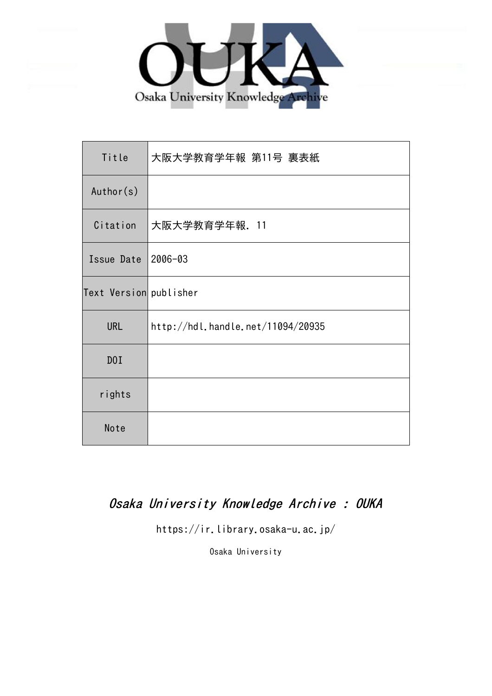

| Title                  | 大阪大学教育学年報 第11号 裏表紙                |
|------------------------|-----------------------------------|
| Author(s)              |                                   |
| Citation               | 大阪大学教育学年報. 11                     |
| Issue Date             | 2006-03                           |
| Text Version publisher |                                   |
| <b>URL</b>             | http://hdl.handle.net/11094/20935 |
| DOI                    |                                   |
| rights                 |                                   |
| Note                   |                                   |

## Osaka University Knowledge Archive : OUKA

https://ir.library.osaka-u.ac.jp/

Osaka University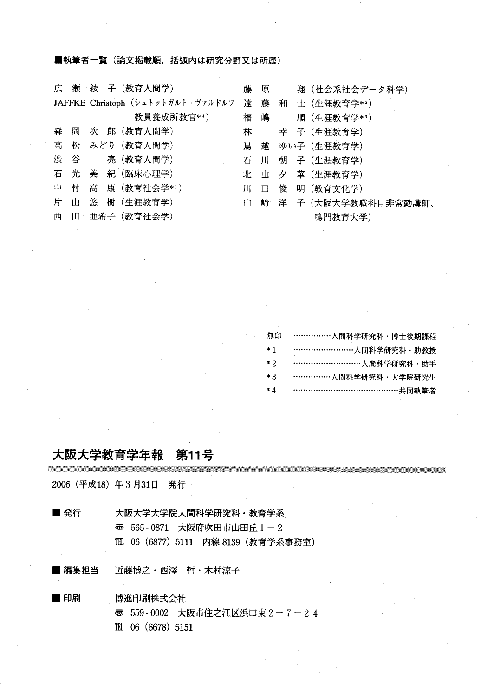■執筆者一覧 (論文掲載順,括弧内は研究分野又は所属)

|   |   |   | 広 瀬 綾 子 (教育人間学)                   | 藤   |     | 原 | 翔(社会系社会データ科学)           |
|---|---|---|-----------------------------------|-----|-----|---|-------------------------|
|   |   |   | JAFFKE Christoph (シュトットガルト・ヴァルドルフ |     | 遠 藤 |   | 和 士 (生涯教育学*2)           |
|   |   |   | 教員養成所教官**)                        | 福嶋  |     |   | 順 (生涯教育学*3)             |
|   |   |   | 森 岡 次 郎 (教育人間学)                   | 林   |     |   | 幸 子 (生涯教育学)             |
|   |   |   | 高 松 みどり (教育人間学)                   | 鳥越  |     |   | ゆい子(生涯教育学)              |
|   |   |   | 渋 谷 亮 (教育人間学)                     |     |     |   | 石 川 朝 子 (生涯教育学)         |
|   |   |   | 石 光 美 紀 (臨床心理学)                   |     |     |   | 北 山 夕 華 (生涯教育学)         |
|   |   |   | 中 村 高 康 (教育社会学*1)                 | 川一口 |     |   | 俊 明 (教育文化学)             |
| 片 | ய | 悠 | 樹 (生涯教育学)                         |     |     |   | 山 崎 洋 子 (大阪大学教職科目非常勤講師、 |
|   |   |   | 西 田 亜希子 (教育社会学)                   |     |     |   | 鳴門教育大学)                 |
|   |   |   |                                   |     |     |   |                         |

| 無印   | ……………人間科学研究科 · 博士後期課程  |
|------|------------------------|
| $*1$ | ………………………人間科学研究科 · 助教授 |
| $*2$ |                        |
| $*3$ | ……………人間科学研究科‧大学院研究生    |
| $*4$ | ……………………………………共同執筆者    |

#### 大阪大学教育学年報 第11号 <u> Karaburan masa masa karabu a matsaya na mana na ma</u>

2006 (平成18) 年3月31日 発行

■ 発行 大阪大学大学院人間科学研究科・教育学系

砺565-0871大 丘1-2

TL 06 (6877) 5111 内線 8139 (教育学系事務室)

■ 編集担当 近藤博之·西澤 哲·木村涼子

■印刷 博進印刷株式会社 **壶 559-0002 大阪市住之江区浜口東 2-7-24** TEL 06 (6678) 5151